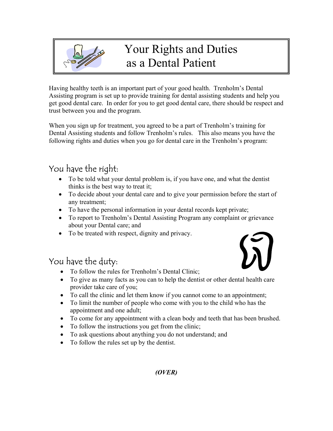

# Your Rights and Duties as a Dental Patient

Having healthy teeth is an important part of your good health. Trenholm's Dental Assisting program is set up to provide training for dental assisting students and help you get good dental care. In order for you to get good dental care, there should be respect and trust between you and the program.

When you sign up for treatment, you agreed to be a part of Trenholm's training for Dental Assisting students and follow Trenholm's rules. This also means you have the following rights and duties when you go for dental care in the Trenholm's program:

## You have the right:

- To be told what your dental problem is, if you have one, and what the dentist thinks is the best way to treat it;
- To decide about your dental care and to give your permission before the start of any treatment;
- To have the personal information in your dental records kept private;
- To report to Trenholm's Dental Assisting Program any complaint or grievance about your Dental care; and
- To be treated with respect, dignity and privacy.

### You have the duty:

- To follow the rules for Trenholm's Dental Clinic;
- To give as many facts as you can to help the dentist or other dental health care provider take care of you;
- To call the clinic and let them know if you cannot come to an appointment;
- To limit the number of people who come with you to the child who has the appointment and one adult;
- To come for any appointment with a clean body and teeth that has been brushed.
- To follow the instructions you get from the clinic;
- To ask questions about anything you do not understand; and
- To follow the rules set up by the dentist.



#### *(OVER)*